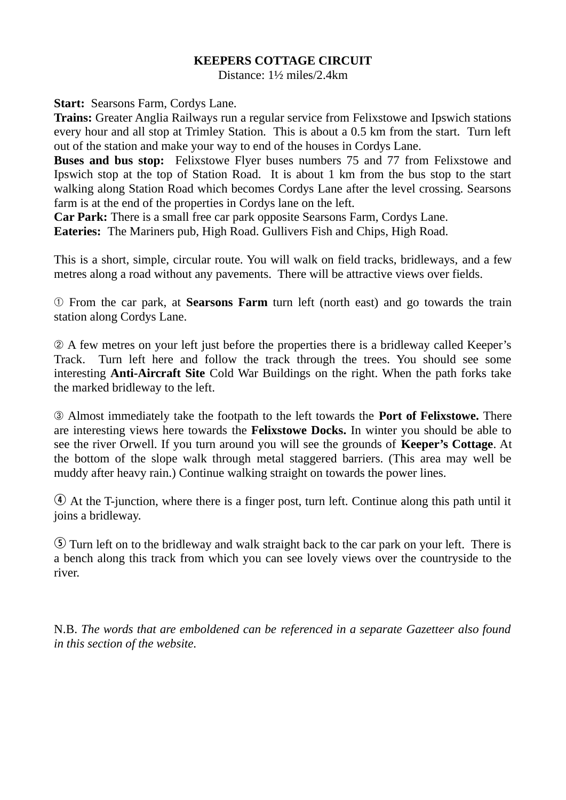## **KEEPERS COTTAGE CIRCUIT**

Distance: 1½ miles/2.4km

**Start: Searsons Farm, Cordys Lane.** 

**Trains:** Greater Anglia Railways run a regular service from Felixstowe and Ipswich stations every hour and all stop at Trimley Station. This is about a 0.5 km from the start. Turn left out of the station and make your way to end of the houses in Cordys Lane.

**Buses and bus stop:** Felixstowe Flyer buses numbers 75 and 77 from Felixstowe and Ipswich stop at the top of Station Road. It is about 1 km from the bus stop to the start walking along Station Road which becomes Cordys Lane after the level crossing. Searsons farm is at the end of the properties in Cordys lane on the left.

**Car Park:** There is a small free car park opposite Searsons Farm, Cordys Lane. **Eateries:** The Mariners pub, High Road. Gullivers Fish and Chips, High Road.

This is a short, simple, circular route. You will walk on field tracks, bridleways, and a few metres along a road without any pavements. There will be attractive views over fields.

➀ From the car park, at **Searsons Farm** turn left (north east) and go towards the train station along Cordys Lane.

➁ A few metres on your left just before the properties there is a bridleway called Keeper's Track. Turn left here and follow the track through the trees. You should see some interesting **Anti-Aircraft Site** Cold War Buildings on the right. When the path forks take the marked bridleway to the left.

➂ Almost immediately take the footpath to the left towards the **Port of Felixstowe.** There are interesting views here towards the **Felixstowe Docks.** In winter you should be able to see the river Orwell. If you turn around you will see the grounds of **Keeper's Cottage**. At the bottom of the slope walk through metal staggered barriers. (This area may well be muddy after heavy rain.) Continue walking straight on towards the power lines.

 $\Phi$  At the T-junction, where there is a finger post, turn left. Continue along this path until it joins a bridleway.

t Turn left on to the bridleway and walk straight back to the car park on your left. There is a bench along this track from which you can see lovely views over the countryside to the river.

N.B. *The words that are emboldened can be referenced in a separate Gazetteer also found in this section of the website.*